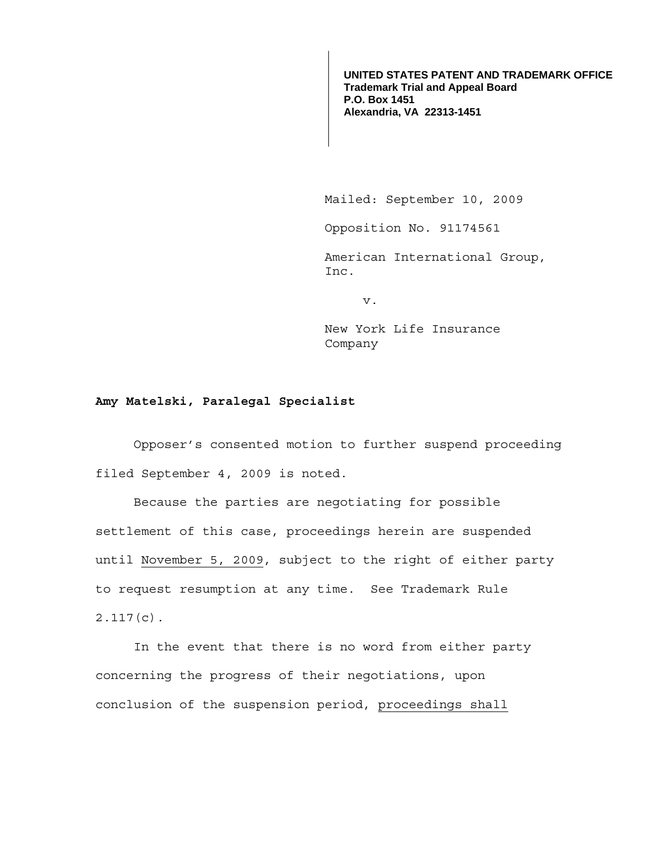**UNITED STATES PATENT AND TRADEMARK OFFICE Trademark Trial and Appeal Board P.O. Box 1451 Alexandria, VA 22313-1451**

Mailed: September 10, 2009

Opposition No. 91174561

 American International Group, Inc.

v.

 New York Life Insurance Company

## **Amy Matelski, Paralegal Specialist**

Opposer's consented motion to further suspend proceeding filed September 4, 2009 is noted.

Because the parties are negotiating for possible settlement of this case, proceedings herein are suspended until November 5, 2009, subject to the right of either party to request resumption at any time. See Trademark Rule 2.117(c).

 In the event that there is no word from either party concerning the progress of their negotiations, upon conclusion of the suspension period, proceedings shall